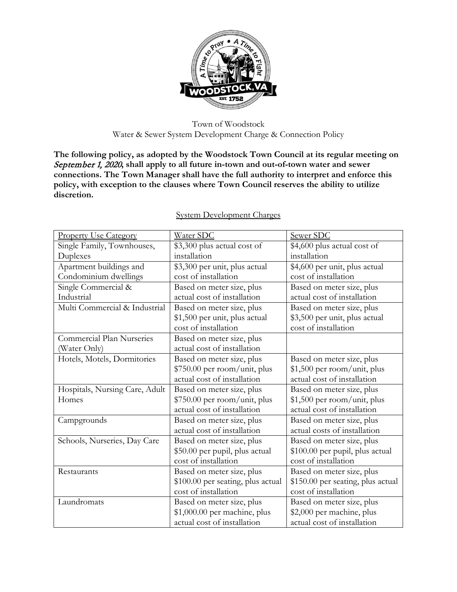

Town of Woodstock Water & Sewer System Development Charge & Connection Policy

**The following policy, as adopted by the Woodstock Town Council at its regular meeting on**  September 1, 2020**, shall apply to all future in-town and out-of-town water and sewer connections. The Town Manager shall have the full authority to interpret and enforce this policy, with exception to the clauses where Town Council reserves the ability to utilize discretion.** 

| <b>Property Use Category</b>   | Water SDC                         | Sewer SDC                         |  |
|--------------------------------|-----------------------------------|-----------------------------------|--|
| Single Family, Townhouses,     | \$3,300 plus actual cost of       | \$4,600 plus actual cost of       |  |
| Duplexes                       | installation                      | installation                      |  |
| Apartment buildings and        | \$3,300 per unit, plus actual     | \$4,600 per unit, plus actual     |  |
| Condominium dwellings          | cost of installation              | cost of installation              |  |
| Single Commercial &            | Based on meter size, plus         | Based on meter size, plus         |  |
| Industrial                     | actual cost of installation       | actual cost of installation       |  |
| Multi Commercial & Industrial  | Based on meter size, plus         | Based on meter size, plus         |  |
|                                | \$1,500 per unit, plus actual     | \$3,500 per unit, plus actual     |  |
|                                | cost of installation              | cost of installation              |  |
| Commercial Plan Nurseries      | Based on meter size, plus         |                                   |  |
| (Water Only)                   | actual cost of installation       |                                   |  |
| Hotels, Motels, Dormitories    | Based on meter size, plus         | Based on meter size, plus         |  |
|                                | \$750.00 per room/unit, plus      | \$1,500 per room/unit, plus       |  |
|                                | actual cost of installation       | actual cost of installation       |  |
| Hospitals, Nursing Care, Adult | Based on meter size, plus         | Based on meter size, plus         |  |
| Homes                          | \$750.00 per room/unit, plus      | \$1,500 per room/unit, plus       |  |
|                                | actual cost of installation       | actual cost of installation       |  |
| Campgrounds                    | Based on meter size, plus         | Based on meter size, plus         |  |
|                                | actual cost of installation       | actual costs of installation      |  |
| Schools, Nurseries, Day Care   | Based on meter size, plus         | Based on meter size, plus         |  |
|                                | \$50.00 per pupil, plus actual    | \$100.00 per pupil, plus actual   |  |
|                                | cost of installation              | cost of installation              |  |
| Restaurants                    | Based on meter size, plus         | Based on meter size, plus         |  |
|                                | \$100.00 per seating, plus actual | \$150.00 per seating, plus actual |  |
|                                | cost of installation              | cost of installation              |  |
| Laundromats                    | Based on meter size, plus         | Based on meter size, plus         |  |
|                                | \$1,000.00 per machine, plus      | \$2,000 per machine, plus         |  |
|                                | actual cost of installation       | actual cost of installation       |  |

## System Development Charges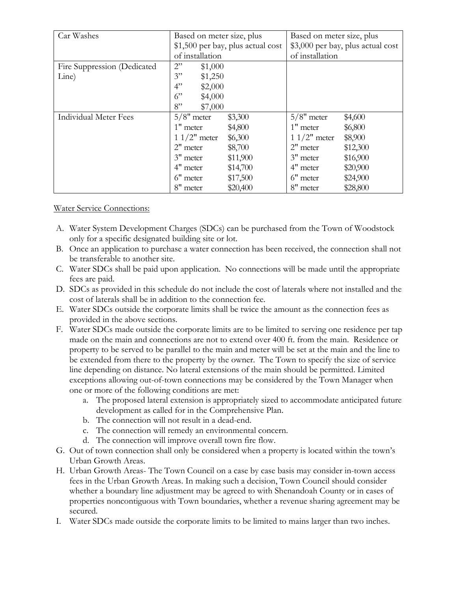| Car Washes                   | Based on meter size, plus         |          | Based on meter size, plus         |          |
|------------------------------|-----------------------------------|----------|-----------------------------------|----------|
|                              | \$1,500 per bay, plus actual cost |          | \$3,000 per bay, plus actual cost |          |
|                              | of installation                   |          | of installation                   |          |
| Fire Suppression (Dedicated  | 2"<br>\$1,000                     |          |                                   |          |
| Line)                        | 3"<br>\$1,250                     |          |                                   |          |
|                              | 4"<br>\$2,000                     |          |                                   |          |
|                              | 6"<br>\$4,000                     |          |                                   |          |
|                              | 8"<br>\$7,000                     |          |                                   |          |
| <b>Individual Meter Fees</b> | $5/8"$ meter                      | \$3,300  | $5/8"$ meter                      | \$4,600  |
|                              | 1" meter                          | \$4,800  | $1$ " meter                       | \$6,800  |
|                              | $11/2$ " meter                    | \$6,300  | $11/2$ " meter                    | \$8,900  |
|                              | $2"$ meter                        | \$8,700  | $2"$ meter                        | \$12,300 |
|                              | 3" meter                          | \$11,900 | 3" meter                          | \$16,900 |
|                              | 4" meter                          | \$14,700 | 4" meter                          | \$20,900 |
|                              | 6" meter                          | \$17,500 | 6" meter                          | \$24,900 |
|                              | 8" meter                          | \$20,400 | 8" meter                          | \$28,800 |

Water Service Connections:

- A. Water System Development Charges (SDCs) can be purchased from the Town of Woodstock only for a specific designated building site or lot.
- B. Once an application to purchase a water connection has been received, the connection shall not be transferable to another site.
- C. Water SDCs shall be paid upon application. No connections will be made until the appropriate fees are paid.
- D. SDCs as provided in this schedule do not include the cost of laterals where not installed and the cost of laterals shall be in addition to the connection fee.
- E. Water SDCs outside the corporate limits shall be twice the amount as the connection fees as provided in the above sections.
- F. Water SDCs made outside the corporate limits are to be limited to serving one residence per tap made on the main and connections are not to extend over 400 ft. from the main. Residence or property to be served to be parallel to the main and meter will be set at the main and the line to be extended from there to the property by the owner. The Town to specify the size of service line depending on distance. No lateral extensions of the main should be permitted. Limited exceptions allowing out-of-town connections may be considered by the Town Manager when one or more of the following conditions are met:
	- a. The proposed lateral extension is appropriately sized to accommodate anticipated future development as called for in the Comprehensive Plan.
	- b. The connection will not result in a dead-end.
	- c. The connection will remedy an environmental concern.
	- d. The connection will improve overall town fire flow.
- G. Out of town connection shall only be considered when a property is located within the town's Urban Growth Areas.
- H. Urban Growth Areas- The Town Council on a case by case basis may consider in-town access fees in the Urban Growth Areas. In making such a decision, Town Council should consider whether a boundary line adjustment may be agreed to with Shenandoah County or in cases of properties noncontiguous with Town boundaries, whether a revenue sharing agreement may be secured.
- I. Water SDCs made outside the corporate limits to be limited to mains larger than two inches.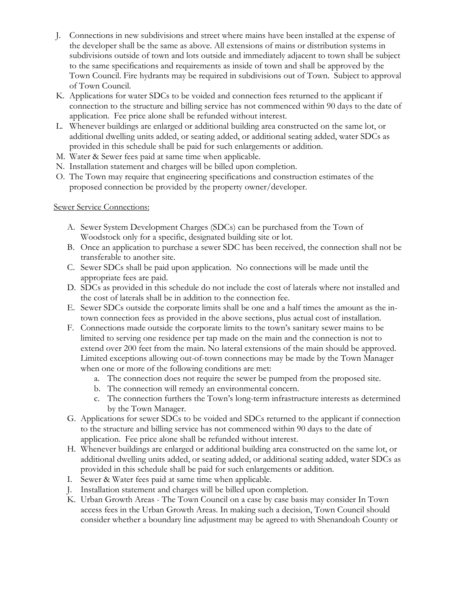- J. Connections in new subdivisions and street where mains have been installed at the expense of the developer shall be the same as above. All extensions of mains or distribution systems in subdivisions outside of town and lots outside and immediately adjacent to town shall be subject to the same specifications and requirements as inside of town and shall be approved by the Town Council. Fire hydrants may be required in subdivisions out of Town. Subject to approval of Town Council.
- K. Applications for water SDCs to be voided and connection fees returned to the applicant if connection to the structure and billing service has not commenced within 90 days to the date of application. Fee price alone shall be refunded without interest.
- L. Whenever buildings are enlarged or additional building area constructed on the same lot, or additional dwelling units added, or seating added, or additional seating added, water SDCs as provided in this schedule shall be paid for such enlargements or addition.
- M. Water & Sewer fees paid at same time when applicable.
- N. Installation statement and charges will be billed upon completion.
- O. The Town may require that engineering specifications and construction estimates of the proposed connection be provided by the property owner/developer.

## Sewer Service Connections:

- A. Sewer System Development Charges (SDCs) can be purchased from the Town of Woodstock only for a specific, designated building site or lot.
- B. Once an application to purchase a sewer SDC has been received, the connection shall not be transferable to another site.
- C. Sewer SDCs shall be paid upon application. No connections will be made until the appropriate fees are paid.
- D. SDCs as provided in this schedule do not include the cost of laterals where not installed and the cost of laterals shall be in addition to the connection fee.
- E. Sewer SDCs outside the corporate limits shall be one and a half times the amount as the intown connection fees as provided in the above sections, plus actual cost of installation.
- F. Connections made outside the corporate limits to the town's sanitary sewer mains to be limited to serving one residence per tap made on the main and the connection is not to extend over 200 feet from the main. No lateral extensions of the main should be approved. Limited exceptions allowing out-of-town connections may be made by the Town Manager when one or more of the following conditions are met:
	- a. The connection does not require the sewer be pumped from the proposed site.
	- b. The connection will remedy an environmental concern.
	- c. The connection furthers the Town's long-term infrastructure interests as determined by the Town Manager.
- G. Applications for sewer SDCs to be voided and SDCs returned to the applicant if connection to the structure and billing service has not commenced within 90 days to the date of application. Fee price alone shall be refunded without interest.
- H. Whenever buildings are enlarged or additional building area constructed on the same lot, or additional dwelling units added, or seating added, or additional seating added, water SDCs as provided in this schedule shall be paid for such enlargements or addition.
- I. Sewer & Water fees paid at same time when applicable.
- J. Installation statement and charges will be billed upon completion.
- K. Urban Growth Areas The Town Council on a case by case basis may consider In Town access fees in the Urban Growth Areas. In making such a decision, Town Council should consider whether a boundary line adjustment may be agreed to with Shenandoah County or